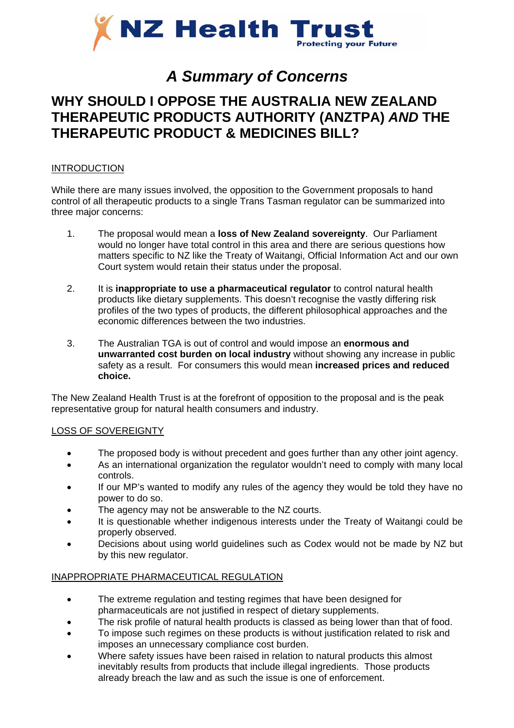

# *A Summary of Concerns*

## **WHY SHOULD I OPPOSE THE AUSTRALIA NEW ZEALAND THERAPEUTIC PRODUCTS AUTHORITY (ANZTPA)** *AND* **THE THERAPEUTIC PRODUCT & MEDICINES BILL?**

#### INTRODUCTION

While there are many issues involved, the opposition to the Government proposals to hand control of all therapeutic products to a single Trans Tasman regulator can be summarized into three major concerns:

- 1. The proposal would mean a **loss of New Zealand sovereignty**. Our Parliament would no longer have total control in this area and there are serious questions how matters specific to NZ like the Treaty of Waitangi, Official Information Act and our own Court system would retain their status under the proposal.
- 2. It is **inappropriate to use a pharmaceutical regulator** to control natural health products like dietary supplements. This doesn't recognise the vastly differing risk profiles of the two types of products, the different philosophical approaches and the economic differences between the two industries.
- 3. The Australian TGA is out of control and would impose an **enormous and unwarranted cost burden on local industry** without showing any increase in public safety as a result. For consumers this would mean **increased prices and reduced choice.**

The New Zealand Health Trust is at the forefront of opposition to the proposal and is the peak representative group for natural health consumers and industry.

#### LOSS OF SOVEREIGNTY

- The proposed body is without precedent and goes further than any other joint agency.
- As an international organization the regulator wouldn't need to comply with many local controls.
- If our MP's wanted to modify any rules of the agency they would be told they have no power to do so.
- The agency may not be answerable to the NZ courts.
- It is questionable whether indigenous interests under the Treaty of Waitangi could be properly observed.
- Decisions about using world guidelines such as Codex would not be made by NZ but by this new regulator.

#### INAPPROPRIATE PHARMACEUTICAL REGULATION

- The extreme regulation and testing regimes that have been designed for pharmaceuticals are not justified in respect of dietary supplements.
- The risk profile of natural health products is classed as being lower than that of food.
- To impose such regimes on these products is without justification related to risk and imposes an unnecessary compliance cost burden.
- Where safety issues have been raised in relation to natural products this almost inevitably results from products that include illegal ingredients. Those products already breach the law and as such the issue is one of enforcement.